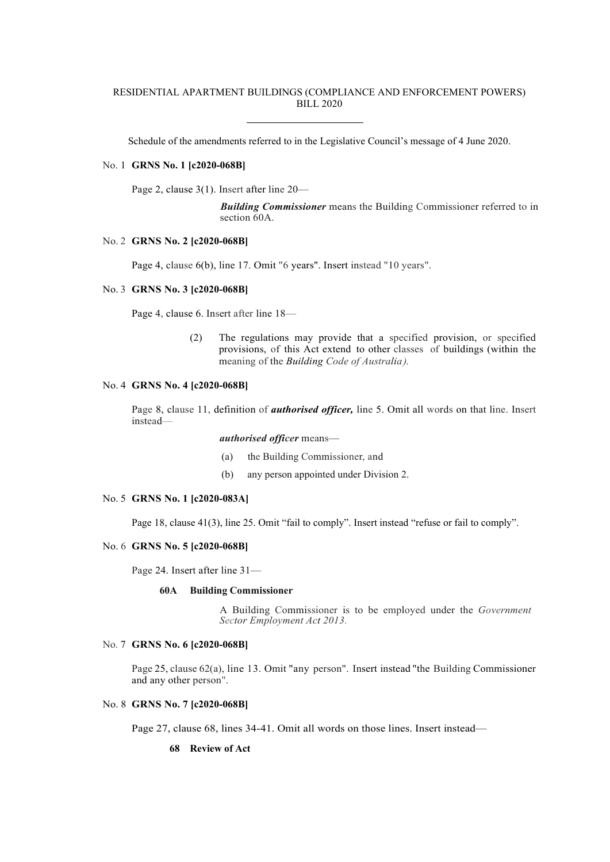## RESIDENTIAL APARTMENT BUILDINGS (COMPLIANCE AND ENFORCEMENT POWERS) BILL 2020

Schedule of the amendments referred to in the Legislative Council's message of 4 June 2020.

### No. 1 **GRNS No. 1 [c2020-068B]**

Page 2, clause 3(1). Insert after line 20—

*Building Commissioner* means the Building Commissioner referred to in section 60A.

### No. 2 **GRNS No. 2 [c2020-068B]**

Page 4, clause 6(b), line 17. Omit "6 years". Insert instead "10 years".

#### No. 3 **GRNS No. 3 [c2020-068B]**

Page 4, clause 6. Insert after line 18—

(2) The regulations may provide that a specified provision, or specified provisions, of this Act extend to other classes of buildings (within the meaning of the *Building Code of Australia).*

## No. 4 **GRNS No. 4 [c2020-068B]**

Page 8, clause 11, definition of *authorised officer,* line 5. Omit all words on that line. Insert instead—

*authorised officer* means—

- (a) the Building Commissioner, and
- (b) any person appointed under Division 2.

#### No. 5 **GRNS No. 1 [c2020-083A]**

Page 18, clause 41(3), line 25. Omit "fail to comply". Insert instead "refuse or fail to comply".

### No. 6 **GRNS No. 5 [c2020-068B]**

Page 24. Insert after line 31—

#### **60A Building Commissioner**

A Building Commissioner is to be employed under the *Government Sector Employment Act 2013.*

## No. 7 **GRNS No. 6 [c2020-068B]**

Page 25, clause 62(a), line 13. Omit "any person". Insert instead "the Building Commissioner and any other person".

# No. 8 **GRNS No. 7 [c2020-068B]**

Page 27, clause 68, lines 34-41. Omit all words on those lines. Insert instead—

#### **68 Review of Act**